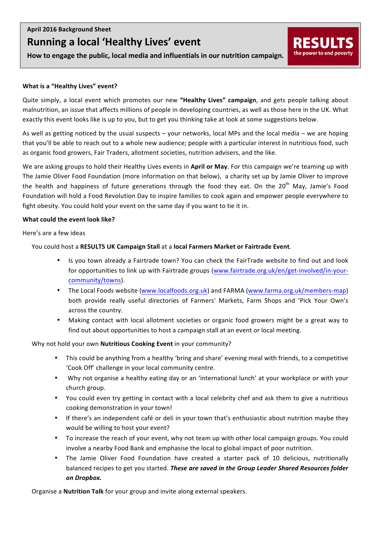# **Running a local 'Healthy Lives' event**

How to engage the public, local media and influentials in our nutrition campaign.

## **What is a "Healthy Lives" event?**

Quite simply, a local event which promotes our new "Healthy Lives" campaign, and gets people talking about malnutrition, an issue that affects millions of people in developing countries, as well as those here in the UK. What exactly this event looks like is up to you, but to get you thinking take at look at some suggestions below.

**RESUL** 

the power to end poverty

As well as getting noticed by the usual suspects  $-$  your networks, local MPs and the local media  $-$  we are hoping that you'll be able to reach out to a whole new audience; people with a particular interest in nutritious food, such as organic food growers, Fair Traders, allotment societies, nutrition advisers, and the like.

We are asking groups to hold their Healthy Lives events in April or May. For this campaign we're teaming up with The Jamie Oliver Food Foundation (more information on that below), a charity set up by Jamie Oliver to improve the health and happiness of future generations through the food they eat. On the  $20<sup>th</sup>$  May, Jamie's Food Foundation will hold a Food Revolution Day to inspire families to cook again and empower people everywhere to fight obesity. You could hold your event on the same day if you want to tie it in.

## **What could the event look like?**

Here's are a few ideas

You could host a RESULTS UK Campaign Stall at a local Farmers Market or Fairtrade Event.

- Is you town already a Fairtrade town? You can check the FairTrade website to find out and look for opportunities to link up with Fairtrade groups (www.fairtrade.org.uk/en/get-involved/in-yourcommunity/towns).
- The Local Foods website (www.localfoods.org.uk) and FARMA (www.farma.org.uk/members-map) both provide really useful directories of Farmers' Markets, Farm Shops and 'Pick Your Own's across the country.
- Making contact with local allotment societies or organic food growers might be a great way to find out about opportunities to host a campaign stall at an event or local meeting.

Why not hold your own **Nutritious Cooking Event** in your community?

- This could be anything from a healthy 'bring and share' evening meal with friends, to a competitive 'Cook Off' challenge in your local community centre.
- Why not organise a healthy eating day or an 'international lunch' at your workplace or with your church group.
- You could even try getting in contact with a local celebrity chef and ask them to give a nutritious cooking demonstration in your town!
- If there's an independent café or deli in your town that's enthusiastic about nutrition maybe they would be willing to host your event?
- To increase the reach of your event, why not team up with other local campaign groups. You could involve a nearby Food Bank and emphasise the local to global impact of poor nutrition.
- The Jamie Oliver Food Foundation have created a starter pack of 10 delicious, nutritionally balanced recipes to get you started. These are saved in the Group Leader Shared Resources folder *on Dropbox.*

Organise a **Nutrition Talk** for your group and invite along external speakers.